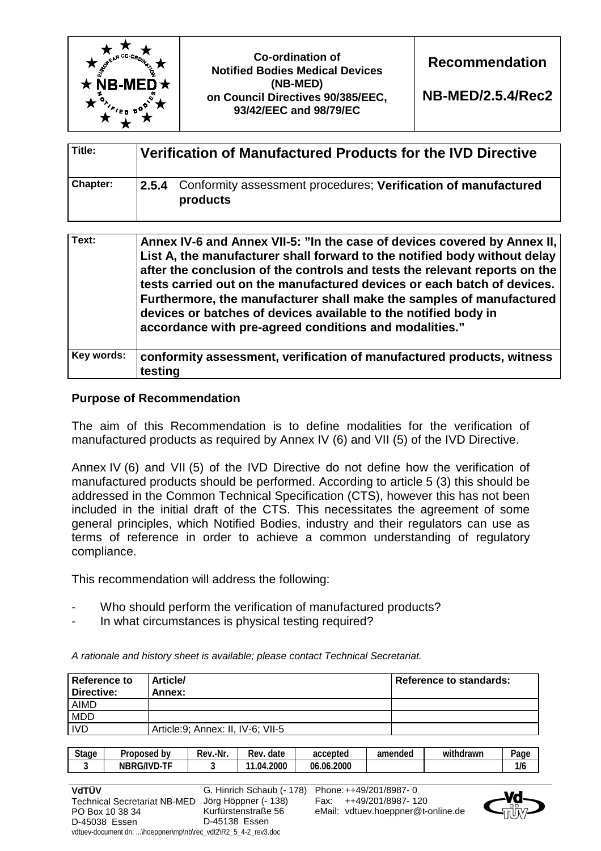

**NB-MED/2.5.4/Rec2** 

| Title:          | Verification of Manufactured Products for the IVD Directive                      |
|-----------------|----------------------------------------------------------------------------------|
| <b>Chapter:</b> | 2.5.4 Conformity assessment procedures; Verification of manufactured<br>products |

| Text:      | Annex IV-6 and Annex VII-5: "In the case of devices covered by Annex II,<br>List A, the manufacturer shall forward to the notified body without delay<br>after the conclusion of the controls and tests the relevant reports on the<br>tests carried out on the manufactured devices or each batch of devices.<br>Furthermore, the manufacturer shall make the samples of manufactured<br>devices or batches of devices available to the notified body in<br>accordance with pre-agreed conditions and modalities." |
|------------|---------------------------------------------------------------------------------------------------------------------------------------------------------------------------------------------------------------------------------------------------------------------------------------------------------------------------------------------------------------------------------------------------------------------------------------------------------------------------------------------------------------------|
| Key words: | conformity assessment, verification of manufactured products, witness<br>testing                                                                                                                                                                                                                                                                                                                                                                                                                                    |

## **Purpose of Recommendation**

The aim of this Recommendation is to define modalities for the verification of manufactured products as required by Annex IV (6) and VII (5) of the IVD Directive.

Annex IV (6) and VII (5) of the IVD Directive do not define how the verification of manufactured products should be performed. According to article 5 (3) this should be addressed in the Common Technical Specification (CTS), however this has not been included in the initial draft of the CTS. This necessitates the agreement of some general principles, which Notified Bodies, industry and their regulators can use as terms of reference in order to achieve a common understanding of regulatory compliance.

This recommendation will address the following:

- Who should perform the verification of manufactured products?
- In what circumstances is physical testing required?

*A rationale and history sheet is available; please contact Technical Secretariat.* 

| Reference to<br><b>Directive:</b> | <b>Article/</b><br>Annex:          | <b>Reference to standards:</b> |
|-----------------------------------|------------------------------------|--------------------------------|
| <b>AIMD</b>                       |                                    |                                |
| <b>MDD</b>                        |                                    |                                |
| <b>IVD</b>                        | Article: 9; Annex: II, IV-6; VII-5 |                                |

| <b>Stage</b> | b٧<br>Proposed     | .-Nr<br>Rev | date<br>-<br>Rev | accepted                  | amended | $\cdots$<br>ıdrawr<br>Wi | $P$ age |
|--------------|--------------------|-------------|------------------|---------------------------|---------|--------------------------|---------|
|              | --<br>G/IVD-<br>MI |             | .2000<br>.04.    | .2000<br>06<br>$\sim$ 06. |         |                          | 1/6     |

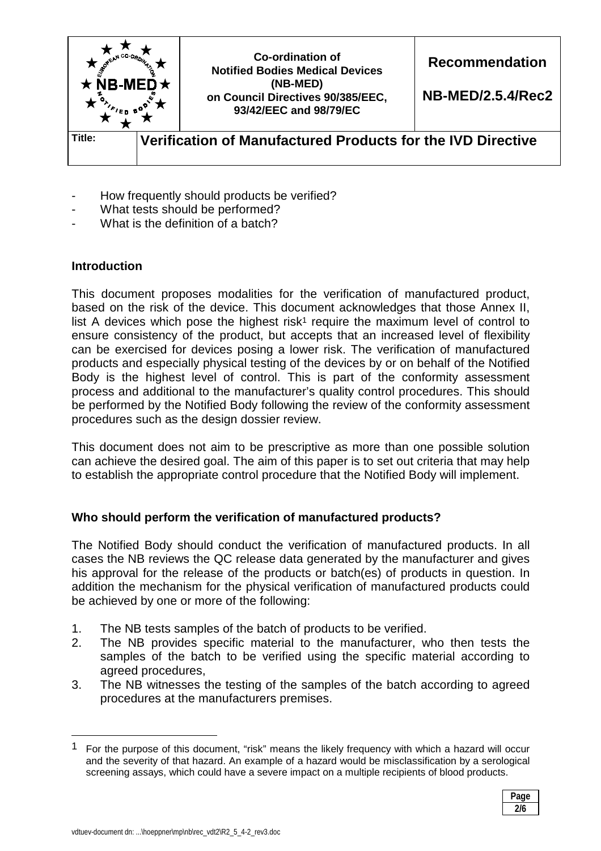

- How frequently should products be verified?
- What tests should be performed?
- What is the definition of a batch?

# **Introduction**

This document proposes modalities for the verification of manufactured product, based on the risk of the device. This document acknowledges that those Annex II, list A devices which pose the highest risk<sup>1</sup> require the maximum level of control to ensure consistency of the product, but accepts that an increased level of flexibility can be exercised for devices posing a lower risk. The verification of manufactured products and especially physical testing of the devices by or on behalf of the Notified Body is the highest level of control. This is part of the conformity assessment process and additional to the manufacturer's quality control procedures. This should be performed by the Notified Body following the review of the conformity assessment procedures such as the design dossier review.

This document does not aim to be prescriptive as more than one possible solution can achieve the desired goal. The aim of this paper is to set out criteria that may help to establish the appropriate control procedure that the Notified Body will implement.

# **Who should perform the verification of manufactured products?**

The Notified Body should conduct the verification of manufactured products. In all cases the NB reviews the QC release data generated by the manufacturer and gives his approval for the release of the products or batch(es) of products in question. In addition the mechanism for the physical verification of manufactured products could be achieved by one or more of the following:

- 1. The NB tests samples of the batch of products to be verified.
- 2. The NB provides specific material to the manufacturer, who then tests the samples of the batch to be verified using the specific material according to agreed procedures,
- 3. The NB witnesses the testing of the samples of the batch according to agreed procedures at the manufacturers premises.

<sup>1</sup> For the purpose of this document, "risk" means the likely frequency with which a hazard will occur and the severity of that hazard. An example of a hazard would be misclassification by a serological screening assays, which could have a severe impact on a multiple recipients of blood products.



l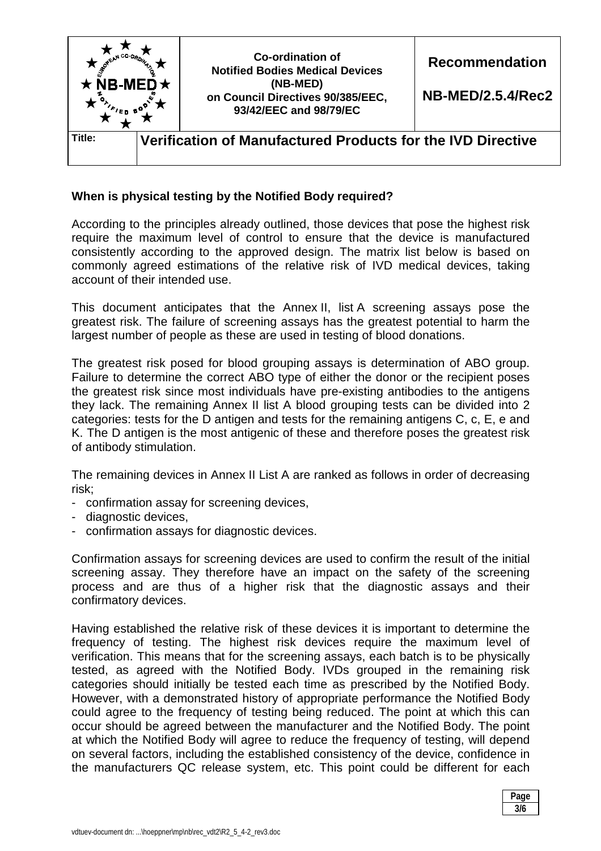

## **When is physical testing by the Notified Body required?**

According to the principles already outlined, those devices that pose the highest risk require the maximum level of control to ensure that the device is manufactured consistently according to the approved design. The matrix list below is based on commonly agreed estimations of the relative risk of IVD medical devices, taking account of their intended use.

This document anticipates that the Annex II, list A screening assays pose the greatest risk. The failure of screening assays has the greatest potential to harm the largest number of people as these are used in testing of blood donations.

The greatest risk posed for blood grouping assays is determination of ABO group. Failure to determine the correct ABO type of either the donor or the recipient poses the greatest risk since most individuals have pre-existing antibodies to the antigens they lack. The remaining Annex II list A blood grouping tests can be divided into 2 categories: tests for the D antigen and tests for the remaining antigens C, c, E, e and K. The D antigen is the most antigenic of these and therefore poses the greatest risk of antibody stimulation.

The remaining devices in Annex II List A are ranked as follows in order of decreasing risk;

- confirmation assay for screening devices,
- diagnostic devices,
- confirmation assays for diagnostic devices.

Confirmation assays for screening devices are used to confirm the result of the initial screening assay. They therefore have an impact on the safety of the screening process and are thus of a higher risk that the diagnostic assays and their confirmatory devices.

Having established the relative risk of these devices it is important to determine the frequency of testing. The highest risk devices require the maximum level of verification. This means that for the screening assays, each batch is to be physically tested, as agreed with the Notified Body. IVDs grouped in the remaining risk categories should initially be tested each time as prescribed by the Notified Body. However, with a demonstrated history of appropriate performance the Notified Body could agree to the frequency of testing being reduced. The point at which this can occur should be agreed between the manufacturer and the Notified Body. The point at which the Notified Body will agree to reduce the frequency of testing, will depend on several factors, including the established consistency of the device, confidence in the manufacturers QC release system, etc. This point could be different for each

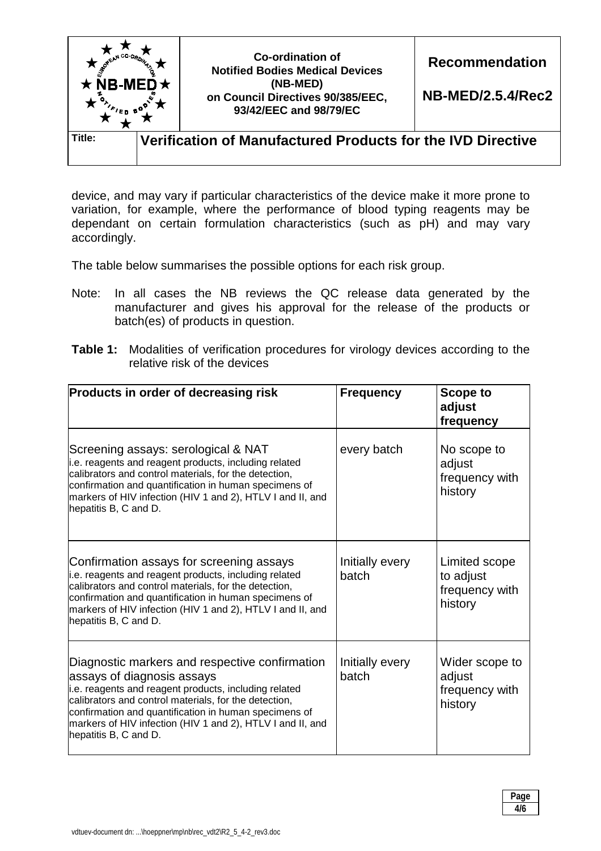

device, and may vary if particular characteristics of the device make it more prone to variation, for example, where the performance of blood typing reagents may be dependant on certain formulation characteristics (such as pH) and may vary accordingly.

The table below summarises the possible options for each risk group.

- Note: In all cases the NB reviews the QC release data generated by the manufacturer and gives his approval for the release of the products or batch(es) of products in question.
- **Table 1:** Modalities of verification procedures for virology devices according to the relative risk of the devices

| Products in order of decreasing risk                                                                                                                                                                                                                                                                                                           | <b>Frequency</b>         | <b>Scope to</b><br>adjust<br>frequency                  |
|------------------------------------------------------------------------------------------------------------------------------------------------------------------------------------------------------------------------------------------------------------------------------------------------------------------------------------------------|--------------------------|---------------------------------------------------------|
| Screening assays: serological & NAT<br>i.e. reagents and reagent products, including related<br>calibrators and control materials, for the detection,<br>confirmation and quantification in human specimens of<br>markers of HIV infection (HIV 1 and 2), HTLV I and II, and<br>hepatitis B, C and D.                                          | every batch              | No scope to<br>adjust<br>frequency with<br>history      |
| Confirmation assays for screening assays<br>i.e. reagents and reagent products, including related<br>calibrators and control materials, for the detection,<br>confirmation and quantification in human specimens of<br>markers of HIV infection (HIV 1 and 2), HTLV I and II, and<br>hepatitis B, C and D.                                     | Initially every<br>batch | Limited scope<br>to adjust<br>frequency with<br>history |
| Diagnostic markers and respective confirmation<br>assays of diagnosis assays<br>i.e. reagents and reagent products, including related<br>calibrators and control materials, for the detection,<br>confirmation and quantification in human specimens of<br>markers of HIV infection (HIV 1 and 2), HTLV I and II, and<br>hepatitis B, C and D. | Initially every<br>batch | Wider scope to<br>adjust<br>frequency with<br>history   |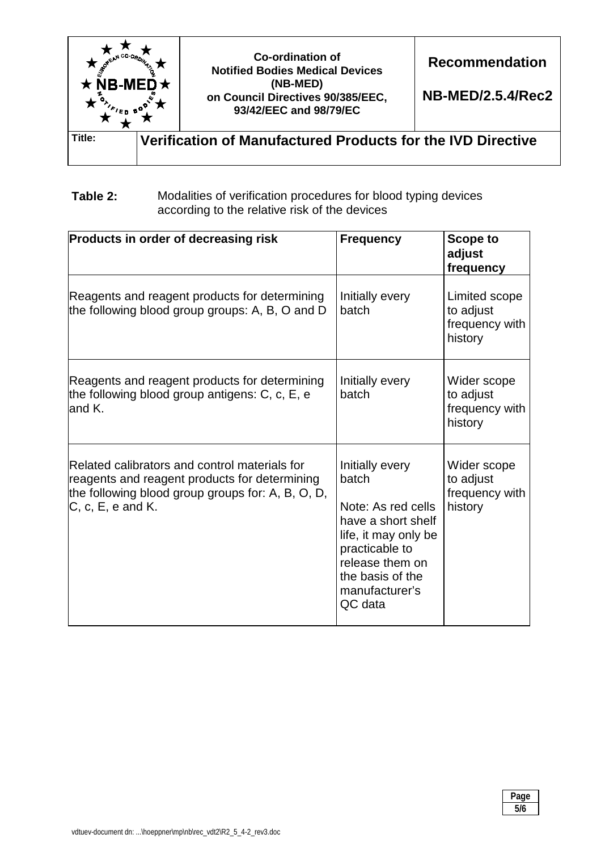

## **Table 2:** Modalities of verification procedures for blood typing devices according to the relative risk of the devices

| Products in order of decreasing risk                                                                                                                                       | <b>Frequency</b>                                                                                                                                                                   | <b>Scope to</b><br>adjust<br>frequency                  |
|----------------------------------------------------------------------------------------------------------------------------------------------------------------------------|------------------------------------------------------------------------------------------------------------------------------------------------------------------------------------|---------------------------------------------------------|
| Reagents and reagent products for determining<br>the following blood group groups: A, B, O and D                                                                           | Initially every<br>batch                                                                                                                                                           | Limited scope<br>to adjust<br>frequency with<br>history |
| Reagents and reagent products for determining<br>the following blood group antigens: C, c, E, e<br>and K.                                                                  | Initially every<br>batch                                                                                                                                                           | Wider scope<br>to adjust<br>frequency with<br>history   |
| Related calibrators and control materials for<br>reagents and reagent products for determining<br>the following blood group groups for: A, B, O, D,<br>$C, c, E, e$ and K. | Initially every<br>batch<br>Note: As red cells<br>have a short shelf<br>life, it may only be<br>practicable to<br>release them on<br>the basis of the<br>manufacturer's<br>QC data | Wider scope<br>to adjust<br>frequency with<br>history   |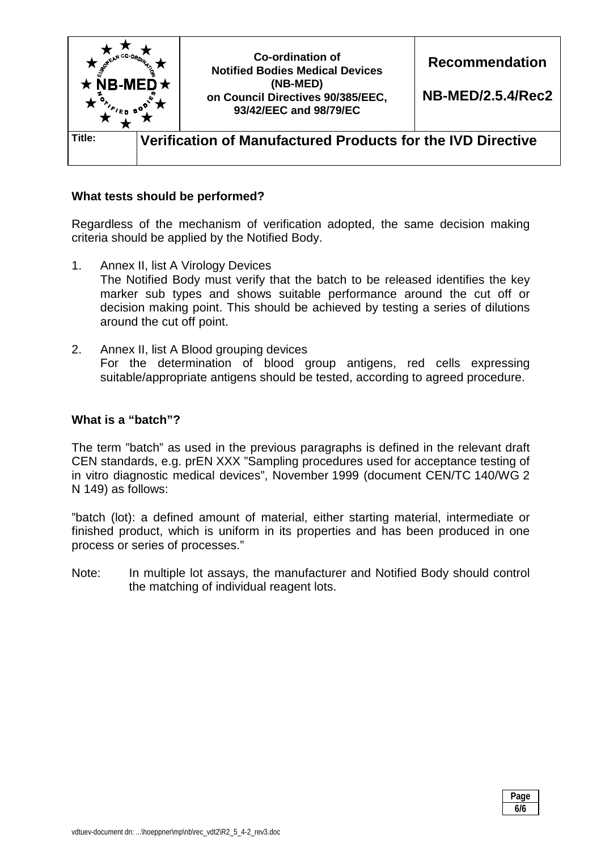

## **What tests should be performed?**

Regardless of the mechanism of verification adopted, the same decision making criteria should be applied by the Notified Body.

- 1. Annex II, list A Virology Devices The Notified Body must verify that the batch to be released identifies the key marker sub types and shows suitable performance around the cut off or decision making point. This should be achieved by testing a series of dilutions around the cut off point.
- 2. Annex II, list A Blood grouping devices For the determination of blood group antigens, red cells expressing suitable/appropriate antigens should be tested, according to agreed procedure.

#### **What is a "batch"?**

The term "batch" as used in the previous paragraphs is defined in the relevant draft CEN standards, e.g. prEN XXX "Sampling procedures used for acceptance testing of in vitro diagnostic medical devices", November 1999 (document CEN/TC 140/WG 2 N 149) as follows:

"batch (lot): a defined amount of material, either starting material, intermediate or finished product, which is uniform in its properties and has been produced in one process or series of processes."

Note: In multiple lot assays, the manufacturer and Notified Body should control the matching of individual reagent lots.

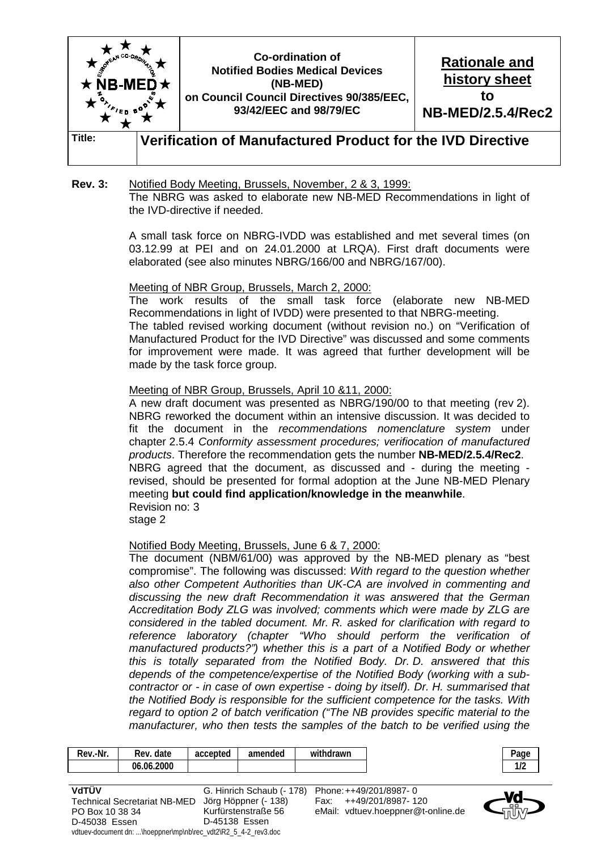

#### **Rev. 3:** Notified Body Meeting, Brussels, November, 2 & 3, 1999: The NBRG was asked to elaborate new NB-MED Recommendations in light of the IVD-directive if needed.

 A small task force on NBRG-IVDD was established and met several times (on 03.12.99 at PEI and on 24.01.2000 at LRQA). First draft documents were elaborated (see also minutes NBRG/166/00 and NBRG/167/00).

Meeting of NBR Group, Brussels, March 2, 2000:

 The work results of the small task force (elaborate new NB-MED Recommendations in light of IVDD) were presented to that NBRG-meeting. The tabled revised working document (without revision no.) on "Verification of Manufactured Product for the IVD Directive" was discussed and some comments for improvement were made. It was agreed that further development will be made by the task force group.

Meeting of NBR Group, Brussels, April 10 &11, 2000:

 A new draft document was presented as NBRG/190/00 to that meeting (rev 2). NBRG reworked the document within an intensive discussion. It was decided to fit the document in the *recommendations nomenclature system* under chapter 2.5.4 *Conformity assessment procedures; verifiocation of manufactured products*. Therefore the recommendation gets the number **NB-MED/2.5.4/Rec2**. NBRG agreed that the document, as discussed and - during the meeting revised, should be presented for formal adoption at the June NB-MED Plenary meeting **but could find application/knowledge in the meanwhile**. Revision no: 3

stage 2

Notified Body Meeting, Brussels, June 6 & 7, 2000:

 The document (NBM/61/00) was approved by the NB-MED plenary as "best compromise". The following was discussed: *With regard to the question whether also other Competent Authorities than UK-CA are involved in commenting and discussing the new draft Recommendation it was answered that the German Accreditation Body ZLG was involved; comments which were made by ZLG are considered in the tabled document. Mr. R. asked for clarification with regard to reference laboratory (chapter "Who should perform the verification of manufactured products?") whether this is a part of a Notified Body or whether this is totally separated from the Notified Body. Dr. D. answered that this depends of the competence/expertise of the Notified Body (working with a subcontractor or - in case of own expertise - doing by itself). Dr. H. summarised that the Notified Body is responsible for the sufficient competence for the tasks. With regard to option 2 of batch verification ("The NB provides specific material to the manufacturer, who then tests the samples of the batch to be verified using the* 

| Rev.-Nr.                                                       | Rev. date  | accepted | amended                   | withdrawn |                                    | Page |
|----------------------------------------------------------------|------------|----------|---------------------------|-----------|------------------------------------|------|
|                                                                | 06.06.2000 |          |                           |           |                                    | 1/2  |
|                                                                |            |          |                           |           |                                    |      |
| VdTÜV                                                          |            |          | G. Hinrich Schaub (- 178) |           | Phone: ++49/201/8987-0             |      |
| <b>Technical Secretariat NB-MED</b>                            |            |          | Jörg Höppner (- 138)      |           | ++49/201/8987-120                  |      |
| PO Box 10 38 34                                                |            |          | Kurfürstenstraße 56       |           | eMail: vdtuev.hoeppner@t-online.de |      |
| D-45038 Essen                                                  |            |          | D-45138 Essen             |           |                                    |      |
| vdtuev-document dn: \hoeppner\mp\nb\rec_vdt2\R2_5_4-2_rev3.doc |            |          |                           |           |                                    |      |